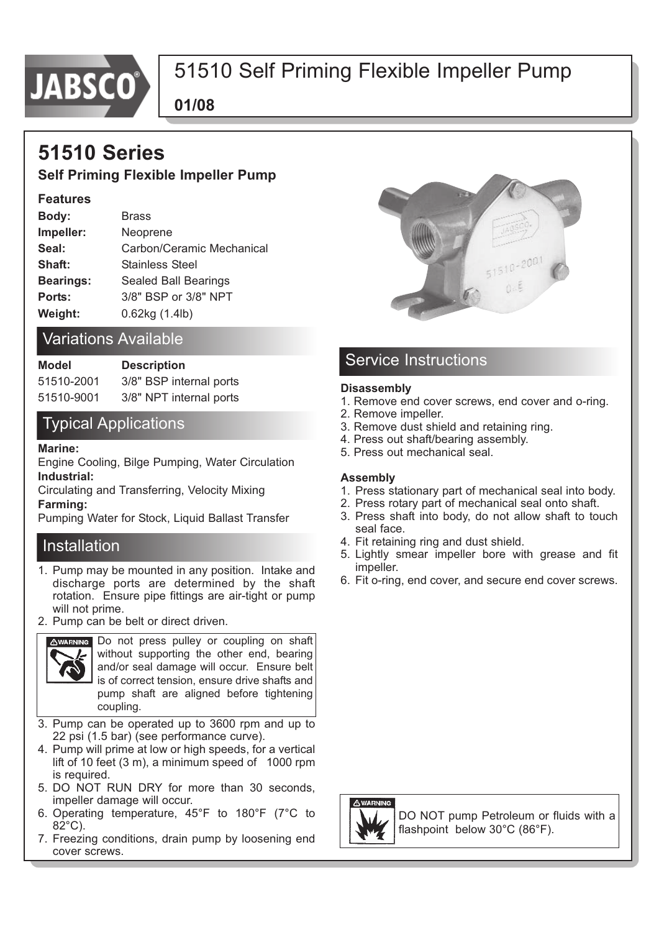

# 51510 Self Priming Flexible Impeller Pump

**01/08**

# **51510 Series**

## **Self Priming Flexible Impeller Pump**

#### **Features**

| Body:            | <b>Brass</b>                |
|------------------|-----------------------------|
| Impeller:        | Neoprene                    |
| Seal:            | Carbon/Ceramic Mechanical   |
| Shaft:           | <b>Stainless Steel</b>      |
| <b>Bearings:</b> | <b>Sealed Ball Bearings</b> |
| Ports:           | 3/8" BSP or 3/8" NPT        |
| Weight:          | 0.62kg (1.4lb)              |

## Variations Available

| Model      | <b>Description</b>      |  |
|------------|-------------------------|--|
| 51510-2001 | 3/8" BSP internal ports |  |
| 51510-9001 | 3/8" NPT internal ports |  |

## Typical Applications

#### **Marine:**

Engine Cooling, Bilge Pumping, Water Circulation **Industrial:** 

Circulating and Transferring, Velocity Mixing **Farming:** 

Pumping Water for Stock, Liquid Ballast Transfer

#### Installation

- 1. Pump may be mounted in any position. Intake and discharge ports are determined by the shaft rotation. Ensure pipe fittings are air-tight or pump will not prime.
- 2. Pump can be belt or direct driven.



Do not press pulley or coupling on shaft without supporting the other end, bearing and/or seal damage will occur. Ensure belt is of correct tension, ensure drive shafts and pump shaft are aligned before tightening coupling.

- 3. Pump can be operated up to 3600 rpm and up to 22 psi (1.5 bar) (see performance curve).
- 4. Pump will prime at low or high speeds, for a vertical lift of 10 feet (3 m), a minimum speed of 1000 rpm is required.
- 5. DO NOT RUN DRY for more than 30 seconds, impeller damage will occur.
- 6. Operating temperature, 45°F to 180°F (7°C to 82°C).
- 7. Freezing conditions, drain pump by loosening end cover screws.



## Service Instructions

#### **Disassembly**

- 1. Remove end cover screws, end cover and o-ring.
- 2. Remove impeller.
- 3. Remove dust shield and retaining ring.
- 4. Press out shaft/bearing assembly.
- 5. Press out mechanical seal.

#### **Assembly**

- 1. Press stationary part of mechanical seal into body.
- 2. Press rotary part of mechanical seal onto shaft.
- 3. Press shaft into body, do not allow shaft to touch seal face.
- 4. Fit retaining ring and dust shield.
- 5. Lightly smear impeller bore with grease and fit impeller.
- 6. Fit o-ring, end cover, and secure end cover screws.



DO NOT pump Petroleum or fluids with a flashpoint below 30°C (86°F).